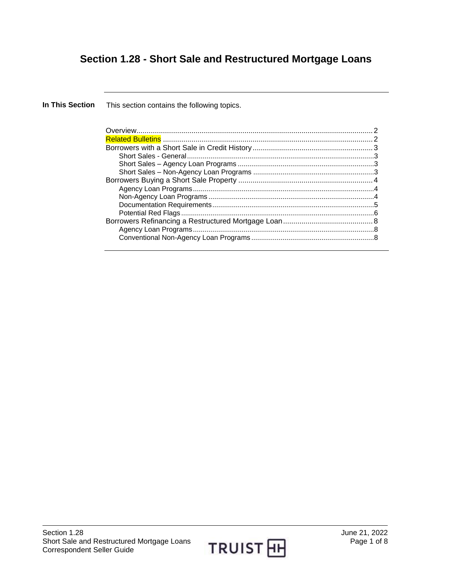# **Section 1.28 - Short Sale and Restructured Mortgage Loans**

**In This Section** This section contains the following topics.

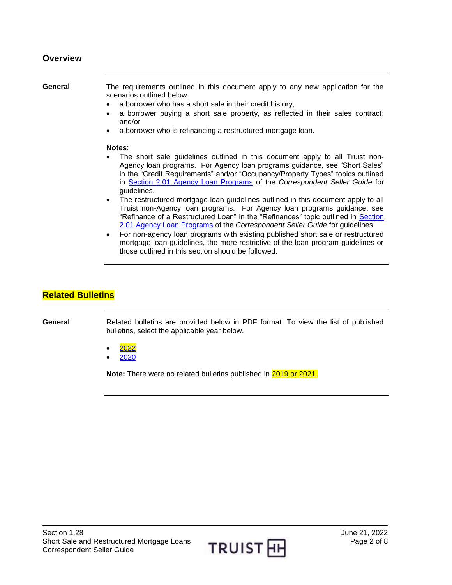#### <span id="page-1-0"></span>**Overview**

**General** The requirements outlined in this document apply to any new application for the scenarios outlined below:

- a borrower who has a short sale in their credit history,
- a borrower buying a short sale property, as reflected in their sales contract; and/or
- a borrower who is refinancing a restructured mortgage loan.

#### **Notes**:

- The short sale guidelines outlined in this document apply to all Truist non-Agency loan programs. For Agency loan programs guidance, see "Short Sales" in the "Credit Requirements" and/or "Occupancy/Property Types" topics outlined in [Section 2.01 Agency Loan Programs](https://truistsellerguide.com/manual/cor/products/cagency.pdf) of the *Correspondent Seller Guide* for guidelines.
- The restructured mortgage loan guidelines outlined in this document apply to all Truist non-Agency loan programs. For Agency loan programs guidance, see "Refinance of a Restructured Loan" in the "Refinances" topic outlined in [Section](https://truistsellerguide.com/manual/cor/products/cagency.pdf)  [2.01 Agency Loan Programs](https://truistsellerguide.com/manual/cor/products/cagency.pdf) of the *Correspondent Seller Guide* for guidelines.
- For non-agency loan programs with existing published short sale or restructured mortgage loan guidelines, the more restrictive of the loan program guidelines or those outlined in this section should be followed.

#### <span id="page-1-1"></span>**Related Bulletins**

**General** Related bulletins are provided below in PDF format. To view the list of published bulletins, select the applicable year below.

- [2022](https://truistsellerguide.com/manual/cor/bulletins/related%20bulletins/2022/CShortsaleandrestructuredloans2022.pdf)
- [2020](https://truistsellerguide.com/manual/cor/bulletins/related%20bulletins/2020/CShortsaleandrestructuredloans2020.pdf)

**Note:** There were no related bulletins published in 2019 or 2021.

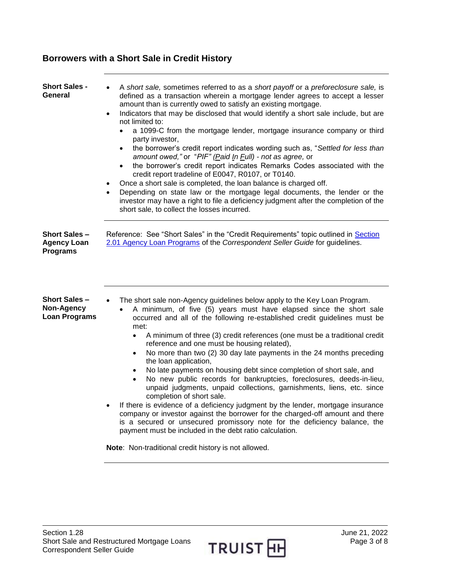## <span id="page-2-0"></span>**Borrowers with a Short Sale in Credit History**

<span id="page-2-3"></span><span id="page-2-2"></span><span id="page-2-1"></span>

| Short Sales -<br>General                                     | A short sale, sometimes referred to as a short payoff or a preforeclosure sale, is<br>defined as a transaction wherein a mortgage lender agrees to accept a lesser<br>amount than is currently owed to satisfy an existing mortgage.<br>Indicators that may be disclosed that would identify a short sale include, but are<br>$\bullet$<br>not limited to:<br>a 1099-C from the mortgage lender, mortgage insurance company or third<br>$\bullet$<br>party investor,<br>the borrower's credit report indicates wording such as, "Settled for less than<br>amount owed," or "PIF" (Paid In Full) - not as agree, or<br>the borrower's credit report indicates Remarks Codes associated with the<br>$\bullet$<br>credit report tradeline of E0047, R0107, or T0140.<br>Once a short sale is completed, the loan balance is charged off.<br>$\bullet$<br>Depending on state law or the mortgage legal documents, the lender or the<br>$\bullet$<br>investor may have a right to file a deficiency judgment after the completion of the<br>short sale, to collect the losses incurred.                                       |
|--------------------------------------------------------------|--------------------------------------------------------------------------------------------------------------------------------------------------------------------------------------------------------------------------------------------------------------------------------------------------------------------------------------------------------------------------------------------------------------------------------------------------------------------------------------------------------------------------------------------------------------------------------------------------------------------------------------------------------------------------------------------------------------------------------------------------------------------------------------------------------------------------------------------------------------------------------------------------------------------------------------------------------------------------------------------------------------------------------------------------------------------------------------------------------------------------|
| <b>Short Sales-</b><br><b>Agency Loan</b><br><b>Programs</b> | Reference: See "Short Sales" in the "Credit Requirements" topic outlined in Section<br>2.01 Agency Loan Programs of the Correspondent Seller Guide for guidelines.                                                                                                                                                                                                                                                                                                                                                                                                                                                                                                                                                                                                                                                                                                                                                                                                                                                                                                                                                       |
| Short Sales –<br>Non-Agency<br><b>Loan Programs</b>          | The short sale non-Agency guidelines below apply to the Key Loan Program.<br>A minimum, of five (5) years must have elapsed since the short sale<br>occurred and all of the following re-established credit guidelines must be<br>met:<br>A minimum of three (3) credit references (one must be a traditional credit<br>$\bullet$<br>reference and one must be housing related),<br>No more than two (2) 30 day late payments in the 24 months preceding<br>$\bullet$<br>the loan application,<br>No late payments on housing debt since completion of short sale, and<br>No new public records for bankruptcies, foreclosures, deeds-in-lieu,<br>unpaid judgments, unpaid collections, garnishments, liens, etc. since<br>completion of short sale.<br>If there is evidence of a deficiency judgment by the lender, mortgage insurance<br>company or investor against the borrower for the charged-off amount and there<br>is a secured or unsecured promissory note for the deficiency balance, the<br>payment must be included in the debt ratio calculation.<br>Note: Non-traditional credit history is not allowed. |

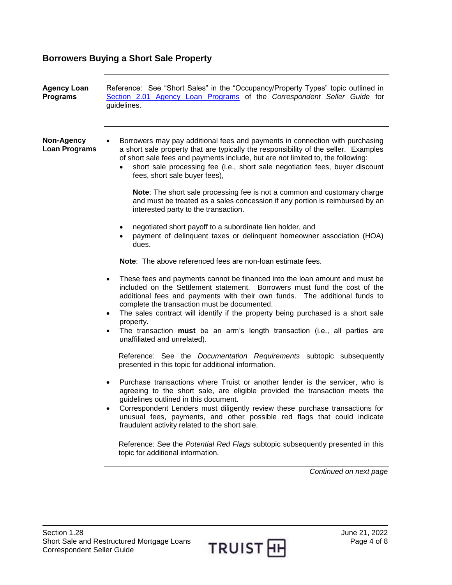## <span id="page-3-0"></span>**Borrowers Buying a Short Sale Property**

<span id="page-3-2"></span><span id="page-3-1"></span>

| <b>Agency Loan</b><br><b>Programs</b> | Reference: See "Short Sales" in the "Occupancy/Property Types" topic outlined in<br>Section 2.01 Agency Loan Programs of the Correspondent Seller Guide for<br>guidelines.                                                                                                                                                                                                                                                                                                                                                                                                                                                                                                                                                                                                                                                                                                                                                                                                                                                                                                                                   |
|---------------------------------------|--------------------------------------------------------------------------------------------------------------------------------------------------------------------------------------------------------------------------------------------------------------------------------------------------------------------------------------------------------------------------------------------------------------------------------------------------------------------------------------------------------------------------------------------------------------------------------------------------------------------------------------------------------------------------------------------------------------------------------------------------------------------------------------------------------------------------------------------------------------------------------------------------------------------------------------------------------------------------------------------------------------------------------------------------------------------------------------------------------------|
| Non-Agency<br><b>Loan Programs</b>    | Borrowers may pay additional fees and payments in connection with purchasing<br>a short sale property that are typically the responsibility of the seller. Examples<br>of short sale fees and payments include, but are not limited to, the following:<br>short sale processing fee (i.e., short sale negotiation fees, buyer discount<br>fees, short sale buyer fees),<br>Note: The short sale processing fee is not a common and customary charge<br>and must be treated as a sales concession if any portion is reimbursed by an<br>interested party to the transaction.<br>negotiated short payoff to a subordinate lien holder, and<br>٠<br>payment of delinquent taxes or delinquent homeowner association (HOA)<br>dues.<br><b>Note:</b> The above referenced fees are non-loan estimate fees.<br>These fees and payments cannot be financed into the loan amount and must be<br>$\bullet$<br>included on the Settlement statement. Borrowers must fund the cost of the<br>additional fees and payments with their own funds. The additional funds to<br>complete the transaction must be documented. |
|                                       | The sales contract will identify if the property being purchased is a short sale<br>$\bullet$<br>property.<br>The transaction must be an arm's length transaction (i.e., all parties are<br>$\bullet$<br>unaffiliated and unrelated).                                                                                                                                                                                                                                                                                                                                                                                                                                                                                                                                                                                                                                                                                                                                                                                                                                                                        |
|                                       | Reference: See the <i>Documentation Requirements</i> subtopic subsequently<br>presented in this topic for additional information.                                                                                                                                                                                                                                                                                                                                                                                                                                                                                                                                                                                                                                                                                                                                                                                                                                                                                                                                                                            |
|                                       | Purchase transactions where Truist or another lender is the servicer, who is<br>$\bullet$<br>agreeing to the short sale, are eligible provided the transaction meets the<br>guidelines outlined in this document.<br>Correspondent Lenders must diligently review these purchase transactions for<br>unusual fees, payments, and other possible red flags that could indicate<br>fraudulent activity related to the short sale.                                                                                                                                                                                                                                                                                                                                                                                                                                                                                                                                                                                                                                                                              |
|                                       | Reference: See the Potential Red Flags subtopic subsequently presented in this<br>topic for additional information.                                                                                                                                                                                                                                                                                                                                                                                                                                                                                                                                                                                                                                                                                                                                                                                                                                                                                                                                                                                          |
|                                       | Continued on next page                                                                                                                                                                                                                                                                                                                                                                                                                                                                                                                                                                                                                                                                                                                                                                                                                                                                                                                                                                                                                                                                                       |

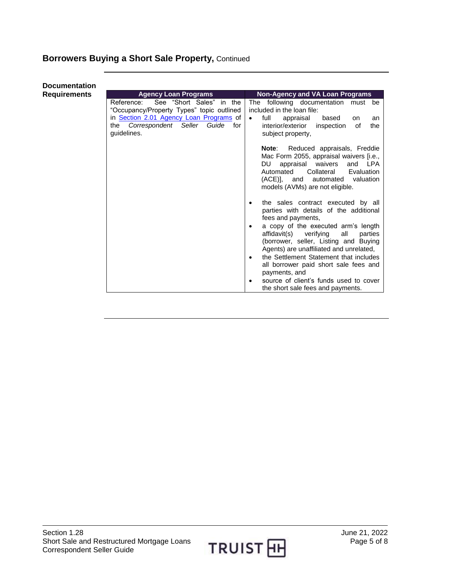## **Borrowers Buying a Short Sale Property,** Continued

#### <span id="page-4-0"></span>**Documentation Requirements**

| <b>Non-Agency and VA Loan Programs</b>                                                                                                                                                                                                                                                                                                                                                                                  |
|-------------------------------------------------------------------------------------------------------------------------------------------------------------------------------------------------------------------------------------------------------------------------------------------------------------------------------------------------------------------------------------------------------------------------|
| The following documentation must be<br>included in the loan file:<br>full<br>appraisal<br>based<br>$\bullet$<br>on<br>an<br>inspection<br>the<br>interior/exterior<br>οf<br>subject property,                                                                                                                                                                                                                           |
| Reduced appraisals, Freddie<br>Note:<br>Mac Form 2055, appraisal waivers [i.e.,<br>appraisal waivers and LPA<br>DU l<br>Collateral<br>Automated<br>Evaluation<br>(ACE), and automated valuation<br>models (AVMs) are not eligible.                                                                                                                                                                                      |
| the sales contract executed by all<br>parties with details of the additional<br>fees and payments,<br>a copy of the executed arm's length<br>affidavit(s) verifying<br>all<br>parties<br>(borrower, seller, Listing and Buying<br>Agents) are unaffiliated and unrelated,<br>the Settlement Statement that includes<br>all borrower paid short sale fees and<br>payments, and<br>source of client's funds used to cover |
|                                                                                                                                                                                                                                                                                                                                                                                                                         |

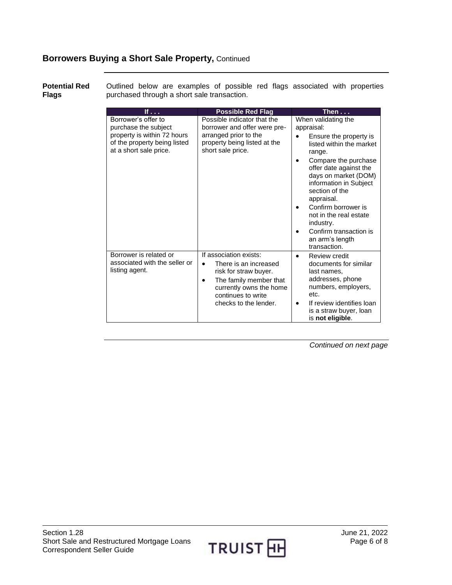#### **Borrowers Buying a Short Sale Property,** Continued

<span id="page-5-0"></span>**Potential Red Flags** Outlined below are examples of possible red flags associated with properties purchased through a short sale transaction.

| If $\ldots$                                                                                                                          | <b>Possible Red Flag</b>                                                                                                                                                                               | Then $\dots$                                                                                                                                                                                                                                                                                                                                                     |
|--------------------------------------------------------------------------------------------------------------------------------------|--------------------------------------------------------------------------------------------------------------------------------------------------------------------------------------------------------|------------------------------------------------------------------------------------------------------------------------------------------------------------------------------------------------------------------------------------------------------------------------------------------------------------------------------------------------------------------|
| Borrower's offer to<br>purchase the subject<br>property is within 72 hours<br>of the property being listed<br>at a short sale price. | Possible indicator that the<br>borrower and offer were pre-<br>arranged prior to the<br>property being listed at the<br>short sale price.                                                              | When validating the<br>appraisal:<br>Ensure the property is<br>listed within the market<br>range.<br>Compare the purchase<br>offer date against the<br>days on market (DOM)<br>information in Subject<br>section of the<br>appraisal.<br>Confirm borrower is<br>not in the real estate<br>industry.<br>Confirm transaction is<br>an arm's length<br>transaction. |
| Borrower is related or<br>associated with the seller or<br>listing agent.                                                            | If association exists:<br>There is an increased<br>$\bullet$<br>risk for straw buyer.<br>The family member that<br>$\bullet$<br>currently owns the home<br>continues to write<br>checks to the lender. | Review credit<br>documents for similar<br>last names,<br>addresses, phone<br>numbers, employers,<br>etc.<br>If review identifies loan<br>is a straw buyer, loan<br>is not eligible.                                                                                                                                                                              |

*Continued on next page*

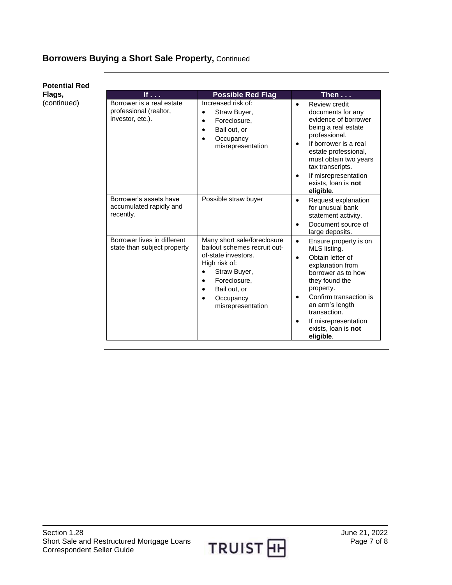## **Borrowers Buying a Short Sale Property,** Continued

| <b>Potential Red</b> |
|----------------------|
| Flags,               |
| (continued)          |

| If $\ldots$                                                             | <b>Possible Red Flag</b>                                                                                                                                                              | Then $\overline{\ldots}$                                                                                                                                                                                                                                                  |
|-------------------------------------------------------------------------|---------------------------------------------------------------------------------------------------------------------------------------------------------------------------------------|---------------------------------------------------------------------------------------------------------------------------------------------------------------------------------------------------------------------------------------------------------------------------|
| Borrower is a real estate<br>professional (realtor,<br>investor, etc.). | Increased risk of:<br>Straw Buyer,<br>$\bullet$<br>Foreclosure.<br>$\bullet$<br>Bail out, or<br>Occupancy<br>$\bullet$<br>misrepresentation                                           | Review credit<br>$\bullet$<br>documents for any<br>evidence of borrower<br>being a real estate<br>professional.<br>If borrower is a real<br>estate professional,<br>must obtain two years<br>tax transcripts.<br>If misrepresentation<br>exists, loan is not<br>eligible. |
| Borrower's assets have<br>accumulated rapidly and<br>recently.          | Possible straw buyer                                                                                                                                                                  | Request explanation<br>for unusual bank<br>statement activity.<br>Document source of<br>large deposits.                                                                                                                                                                   |
| Borrower lives in different<br>state than subject property              | Many short sale/foreclosure<br>bailout schemes recruit out-<br>of-state investors.<br>High risk of:<br>Straw Buyer,<br>Foreclosure,<br>Bail out, or<br>Occupancy<br>misrepresentation | Ensure property is on<br>MLS listing.<br>Obtain letter of<br>explanation from<br>borrower as to how<br>they found the<br>property.<br>Confirm transaction is<br>an arm's length<br>transaction.<br>If misrepresentation<br>exists, loan is not<br>eligible.               |